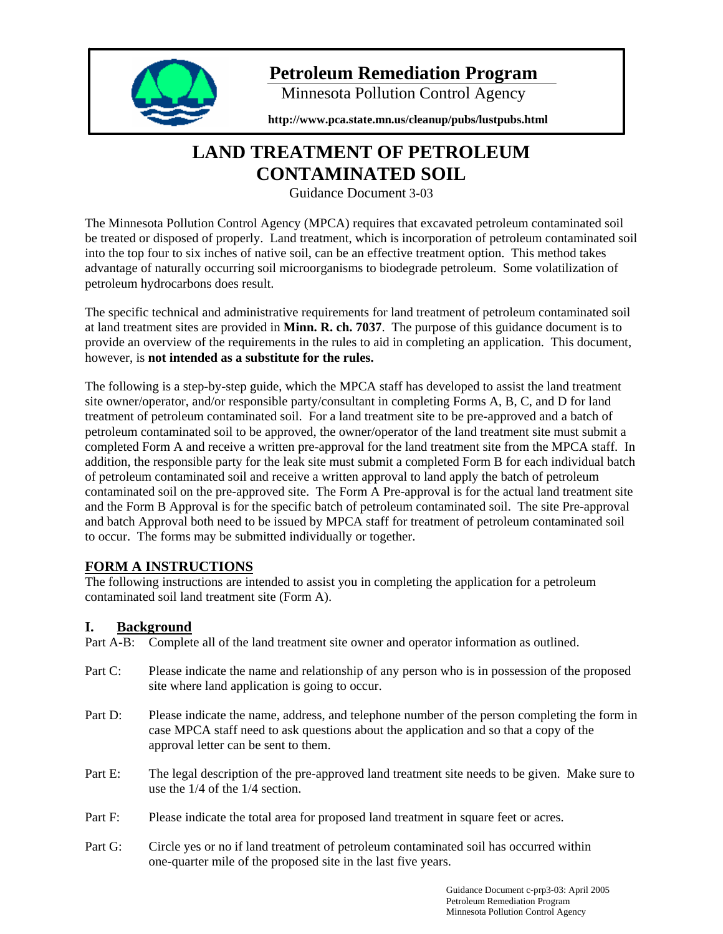

# **Petroleum Remediation Program**

Minnesota Pollution Control Agency

**http://www.pca.state.mn.us/cleanup/pubs/lustpubs.html** 

# **LAND TREATMENT OF PETROLEUM CONTAMINATED SOIL**

Guidance Document 3-03

The Minnesota Pollution Control Agency (MPCA) requires that excavated petroleum contaminated soil be treated or disposed of properly. Land treatment, which is incorporation of petroleum contaminated soil into the top four to six inches of native soil, can be an effective treatment option. This method takes advantage of naturally occurring soil microorganisms to biodegrade petroleum. Some volatilization of petroleum hydrocarbons does result.

The specific technical and administrative requirements for land treatment of petroleum contaminated soil at land treatment sites are provided in **Minn. R. ch. 7037**. The purpose of this guidance document is to provide an overview of the requirements in the rules to aid in completing an application. This document, however, is **not intended as a substitute for the rules.** 

The following is a step-by-step guide, which the MPCA staff has developed to assist the land treatment site owner/operator, and/or responsible party/consultant in completing Forms A, B, C, and D for land treatment of petroleum contaminated soil. For a land treatment site to be pre-approved and a batch of petroleum contaminated soil to be approved, the owner/operator of the land treatment site must submit a completed Form A and receive a written pre-approval for the land treatment site from the MPCA staff. In addition, the responsible party for the leak site must submit a completed Form B for each individual batch of petroleum contaminated soil and receive a written approval to land apply the batch of petroleum contaminated soil on the pre-approved site. The Form A Pre-approval is for the actual land treatment site and the Form B Approval is for the specific batch of petroleum contaminated soil. The site Pre-approval and batch Approval both need to be issued by MPCA staff for treatment of petroleum contaminated soil to occur. The forms may be submitted individually or together.

# **FORM A INSTRUCTIONS**

The following instructions are intended to assist you in completing the application for a petroleum contaminated soil land treatment site (Form A).

# **I. Background**

Part A-B: Complete all of the land treatment site owner and operator information as outlined.

- Part C: Please indicate the name and relationship of any person who is in possession of the proposed site where land application is going to occur.
- Part D: Please indicate the name, address, and telephone number of the person completing the form in case MPCA staff need to ask questions about the application and so that a copy of the approval letter can be sent to them.
- Part E: The legal description of the pre-approved land treatment site needs to be given. Make sure to use the 1/4 of the 1/4 section.
- Part F: Please indicate the total area for proposed land treatment in square feet or acres.
- Part G: Circle yes or no if land treatment of petroleum contaminated soil has occurred within one-quarter mile of the proposed site in the last five years.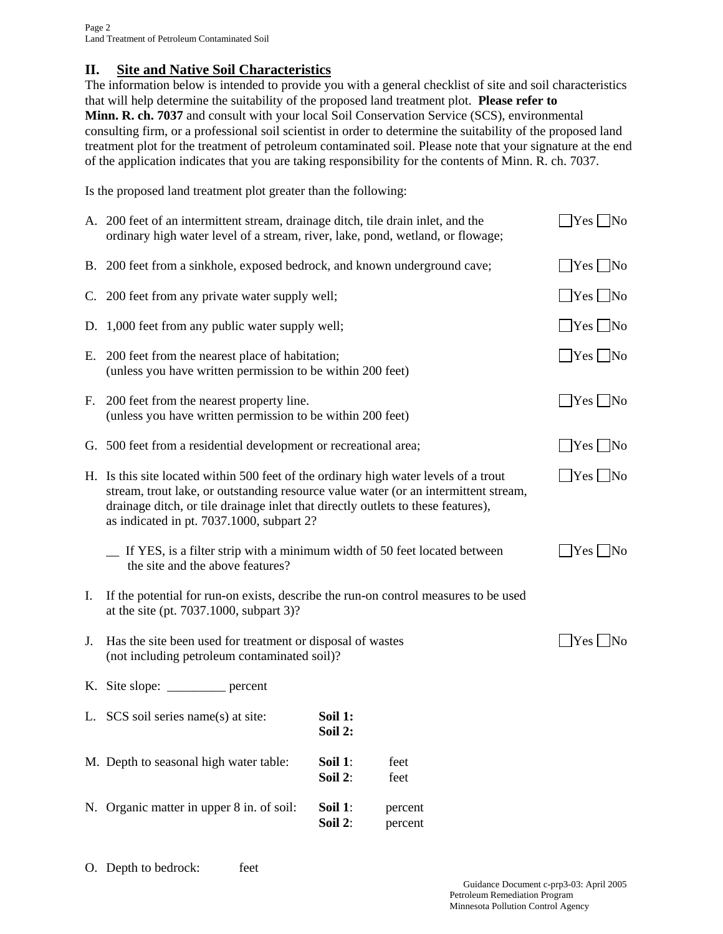## **II. Site and Native Soil Characteristics**

The information below is intended to provide you with a general checklist of site and soil characteristics that will help determine the suitability of the proposed land treatment plot. **Please refer to Minn. R. ch. 7037** and consult with your local Soil Conservation Service (SCS), environmental consulting firm, or a professional soil scientist in order to determine the suitability of the proposed land treatment plot for the treatment of petroleum contaminated soil. Please note that your signature at the end of the application indicates that you are taking responsibility for the contents of Minn. R. ch. 7037.

Is the proposed land treatment plot greater than the following:

|    | A. 200 feet of an intermittent stream, drainage ditch, tile drain inlet, and the<br>ordinary high water level of a stream, river, lake, pond, wetland, or flowage;                                                                                                                                                         |                    |                    | $ Yes $ No                                       |  |
|----|----------------------------------------------------------------------------------------------------------------------------------------------------------------------------------------------------------------------------------------------------------------------------------------------------------------------------|--------------------|--------------------|--------------------------------------------------|--|
|    | B. 200 feet from a sinkhole, exposed bedrock, and known underground cave;                                                                                                                                                                                                                                                  |                    |                    | $ Yes $ No                                       |  |
|    | C. 200 feet from any private water supply well;                                                                                                                                                                                                                                                                            |                    |                    | $ Yes $ No                                       |  |
|    | D. 1,000 feet from any public water supply well;                                                                                                                                                                                                                                                                           |                    |                    | $ Yes $ No                                       |  |
|    | E. 200 feet from the nearest place of habitation;<br>(unless you have written permission to be within 200 feet)                                                                                                                                                                                                            |                    |                    | $\sqrt{\frac{1}{1}}$ Yes $\sqrt{\frac{1}{1}}$ No |  |
|    | F. 200 feet from the nearest property line.<br>(unless you have written permission to be within 200 feet)                                                                                                                                                                                                                  |                    |                    | $\Box$ Yes $\Box$ No                             |  |
|    | G. 500 feet from a residential development or recreational area;                                                                                                                                                                                                                                                           |                    |                    | $ Yes $ No                                       |  |
|    | $ Yes $ No<br>H. Is this site located within 500 feet of the ordinary high water levels of a trout<br>stream, trout lake, or outstanding resource value water (or an intermittent stream,<br>drainage ditch, or tile drainage inlet that directly outlets to these features),<br>as indicated in pt. 7037.1000, subpart 2? |                    |                    |                                                  |  |
|    | If YES, is a filter strip with a minimum width of 50 feet located between<br>the site and the above features?                                                                                                                                                                                                              |                    |                    | $ Yes $ No                                       |  |
| Ι. | If the potential for run-on exists, describe the run-on control measures to be used<br>at the site (pt. 7037.1000, subpart 3)?                                                                                                                                                                                             |                    |                    |                                                  |  |
| J. | Has the site been used for treatment or disposal of wastes<br>(not including petroleum contaminated soil)?                                                                                                                                                                                                                 |                    |                    | $ Yes $ No                                       |  |
|    | K. Site slope: ___________ percent                                                                                                                                                                                                                                                                                         |                    |                    |                                                  |  |
|    | L. SCS soil series name(s) at site:                                                                                                                                                                                                                                                                                        | Soil 1:<br>Soil 2: |                    |                                                  |  |
|    | M. Depth to seasonal high water table:                                                                                                                                                                                                                                                                                     | Soil 1:<br>Soil 2: | feet<br>feet       |                                                  |  |
|    | N. Organic matter in upper 8 in. of soil:                                                                                                                                                                                                                                                                                  | Soil 1:<br>Soil 2: | percent<br>percent |                                                  |  |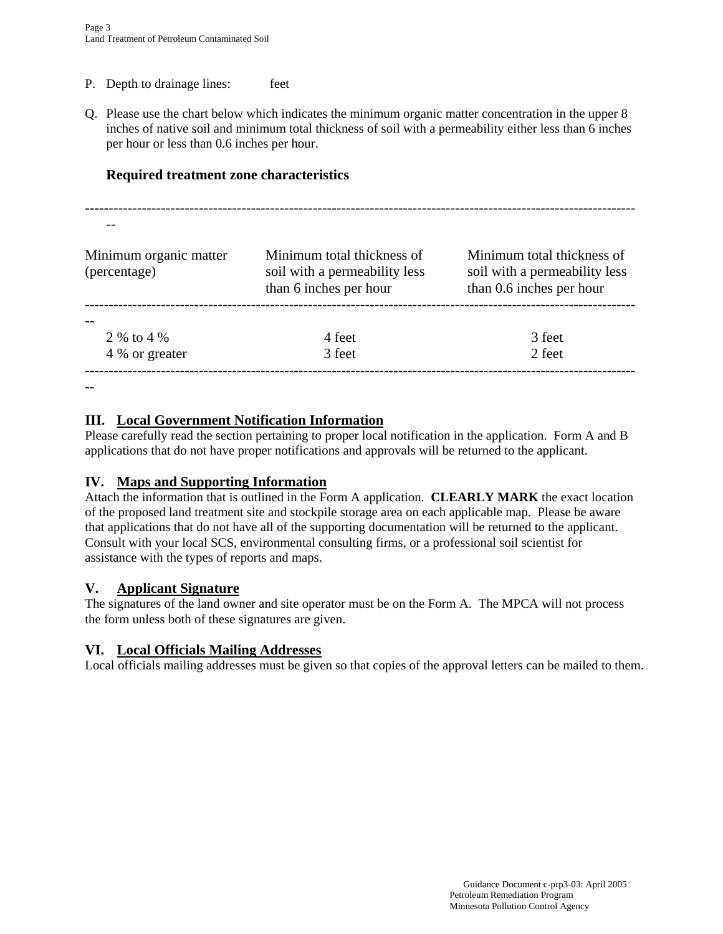- P. Depth to drainage lines: feet
- Q. Please use the chart below which indicates the minimum organic matter concentration in the upper 8 inches of native soil and minimum total thickness of soil with a permeability either less than 6 inches per hour or less than 0.6 inches per hour.

## **Required treatment zone characteristics**

| Minimum organic matter<br>(percentage) | Minimum total thickness of<br>soil with a permeability less<br>than 6 inches per hour | Minimum total thickness of<br>soil with a permeability less<br>than 0.6 inches per hour |
|----------------------------------------|---------------------------------------------------------------------------------------|-----------------------------------------------------------------------------------------|
|                                        |                                                                                       |                                                                                         |
| 2 % to 4 %                             | 4 feet                                                                                | 3 feet                                                                                  |
| 4 % or greater                         | 3 feet                                                                                | 2 feet                                                                                  |

## **III. Local Government Notification Information**

Please carefully read the section pertaining to proper local notification in the application. Form A and B applications that do not have proper notifications and approvals will be returned to the applicant.

## **IV. Maps and Supporting Information**

Attach the information that is outlined in the Form A application. **CLEARLY MARK** the exact location of the proposed land treatment site and stockpile storage area on each applicable map. Please be aware that applications that do not have all of the supporting documentation will be returned to the applicant. Consult with your local SCS, environmental consulting firms, or a professional soil scientist for assistance with the types of reports and maps.

## **V. Applicant Signature**

 $-$ 

The signatures of the land owner and site operator must be on the Form A. The MPCA will not process the form unless both of these signatures are given.

## **VI. Local Officials Mailing Addresses**

Local officials mailing addresses must be given so that copies of the approval letters can be mailed to them.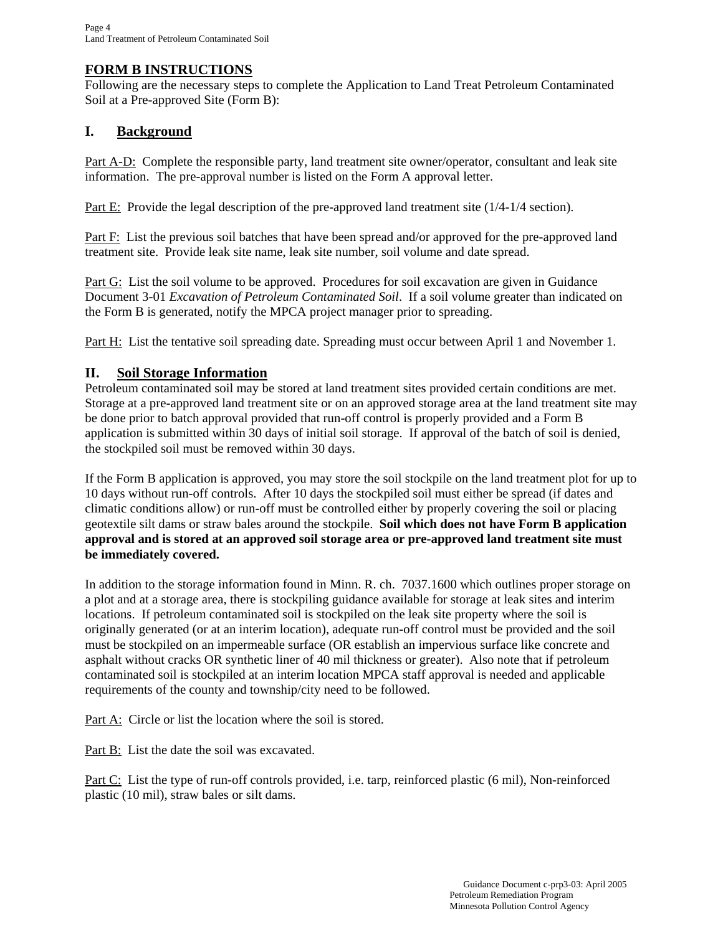## **FORM B INSTRUCTIONS**

Following are the necessary steps to complete the Application to Land Treat Petroleum Contaminated Soil at a Pre-approved Site (Form B):

## **I. Background**

Part A-D: Complete the responsible party, land treatment site owner/operator, consultant and leak site information. The pre-approval number is listed on the Form A approval letter.

Part E: Provide the legal description of the pre-approved land treatment site (1/4-1/4 section).

Part F: List the previous soil batches that have been spread and/or approved for the pre-approved land treatment site. Provide leak site name, leak site number, soil volume and date spread.

Part G: List the soil volume to be approved. Procedures for soil excavation are given in Guidance Document 3-01 *Excavation of Petroleum Contaminated Soil*. If a soil volume greater than indicated on the Form B is generated, notify the MPCA project manager prior to spreading.

Part H: List the tentative soil spreading date. Spreading must occur between April 1 and November 1.

## **II. Soil Storage Information**

Petroleum contaminated soil may be stored at land treatment sites provided certain conditions are met. Storage at a pre-approved land treatment site or on an approved storage area at the land treatment site may be done prior to batch approval provided that run-off control is properly provided and a Form B application is submitted within 30 days of initial soil storage. If approval of the batch of soil is denied, the stockpiled soil must be removed within 30 days.

If the Form B application is approved, you may store the soil stockpile on the land treatment plot for up to 10 days without run-off controls. After 10 days the stockpiled soil must either be spread (if dates and climatic conditions allow) or run-off must be controlled either by properly covering the soil or placing geotextile silt dams or straw bales around the stockpile. **Soil which does not have Form B application approval and is stored at an approved soil storage area or pre-approved land treatment site must be immediately covered.** 

In addition to the storage information found in Minn. R. ch. 7037.1600 which outlines proper storage on a plot and at a storage area, there is stockpiling guidance available for storage at leak sites and interim locations. If petroleum contaminated soil is stockpiled on the leak site property where the soil is originally generated (or at an interim location), adequate run-off control must be provided and the soil must be stockpiled on an impermeable surface (OR establish an impervious surface like concrete and asphalt without cracks OR synthetic liner of 40 mil thickness or greater). Also note that if petroleum contaminated soil is stockpiled at an interim location MPCA staff approval is needed and applicable requirements of the county and township/city need to be followed.

Part A: Circle or list the location where the soil is stored.

Part B: List the date the soil was excavated.

Part C: List the type of run-off controls provided, i.e. tarp, reinforced plastic (6 mil), Non-reinforced plastic (10 mil), straw bales or silt dams.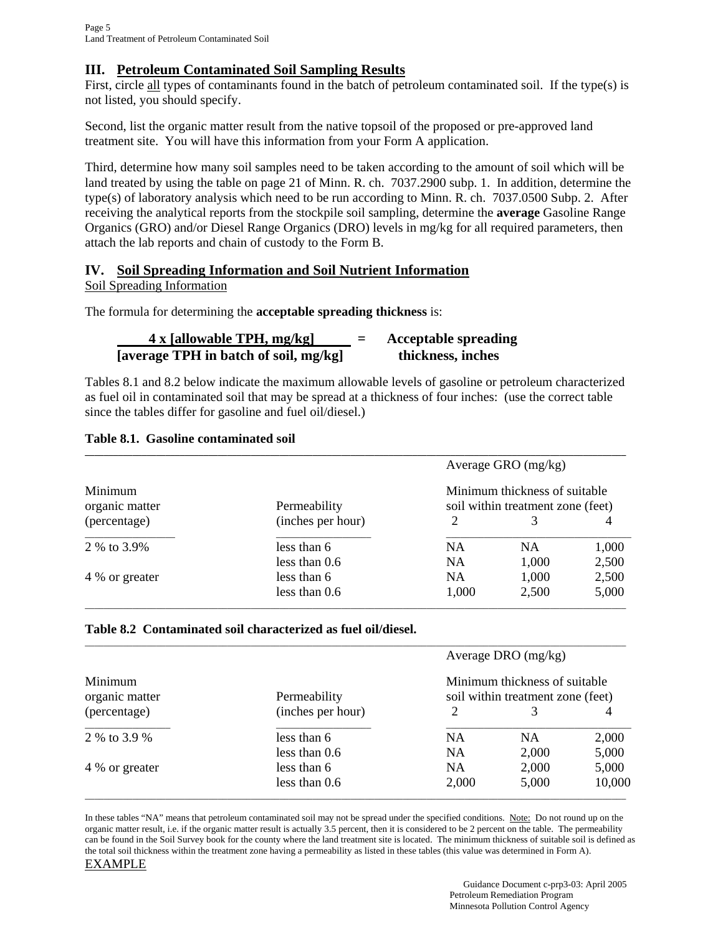## **III. Petroleum Contaminated Soil Sampling Results**

First, circle all types of contaminants found in the batch of petroleum contaminated soil. If the type(s) is not listed, you should specify.

Second, list the organic matter result from the native topsoil of the proposed or pre-approved land treatment site. You will have this information from your Form A application.

Third, determine how many soil samples need to be taken according to the amount of soil which will be land treated by using the table on page 21 of Minn. R. ch. 7037.2900 subp. 1. In addition, determine the type(s) of laboratory analysis which need to be run according to Minn. R. ch. 7037.0500 Subp. 2. After receiving the analytical reports from the stockpile soil sampling, determine the **average** Gasoline Range Organics (GRO) and/or Diesel Range Organics (DRO) levels in mg/kg for all required parameters, then attach the lab reports and chain of custody to the Form B.

## **IV. Soil Spreading Information and Soil Nutrient Information**

Soil Spreading Information

The formula for determining the **acceptable spreading thickness** is:

| $4x$ [allowable TPH, mg/kg]           |  | <b>Acceptable spreading</b> |  |
|---------------------------------------|--|-----------------------------|--|
| [average TPH in batch of soil, mg/kg] |  | thickness, inches           |  |

Tables 8.1 and 8.2 below indicate the maximum allowable levels of gasoline or petroleum characterized as fuel oil in contaminated soil that may be spread at a thickness of four inches: (use the correct table since the tables differ for gasoline and fuel oil/diesel.)

#### **Table 8.1. Gasoline contaminated soil**

|                           |                   | Average GRO $(mg/kg)$                                              |           |       |
|---------------------------|-------------------|--------------------------------------------------------------------|-----------|-------|
| Minimum<br>organic matter | Permeability      | Minimum thickness of suitable<br>soil within treatment zone (feet) |           |       |
| (percentage)              | (inches per hour) | 2                                                                  |           |       |
| 2 % to 3.9%               | less than 6       | <b>NA</b>                                                          | <b>NA</b> | 1,000 |
|                           | less than $0.6$   | <b>NA</b>                                                          | 1,000     | 2,500 |
| 4 % or greater            | less than 6       | <b>NA</b>                                                          | 1,000     | 2,500 |
|                           | less than $0.6$   | 1,000                                                              | 2,500     | 5,000 |

### **Table 8.2 Contaminated soil characterized as fuel oil/diesel.**

|                           |                   | Average DRO $(mg/kg)$                                              |           |        |
|---------------------------|-------------------|--------------------------------------------------------------------|-----------|--------|
| Minimum<br>organic matter | Permeability      | Minimum thickness of suitable<br>soil within treatment zone (feet) |           |        |
| (percentage)              | (inches per hour) | 2                                                                  |           |        |
| 2 % to 3.9 %              | less than 6       | <b>NA</b>                                                          | <b>NA</b> | 2,000  |
|                           | less than $0.6$   | <b>NA</b>                                                          | 2,000     | 5,000  |
| 4 % or greater            | less than 6       | <b>NA</b>                                                          | 2,000     | 5,000  |
|                           | less than 0.6     | 2,000                                                              | 5,000     | 10,000 |

In these tables "NA" means that petroleum contaminated soil may not be spread under the specified conditions. Note: Do not round up on the organic matter result, i.e. if the organic matter result is actually 3.5 percent, then it is considered to be 2 percent on the table. The permeability can be found in the Soil Survey book for the county where the land treatment site is located. The minimum thickness of suitable soil is defined as the total soil thickness within the treatment zone having a permeability as listed in these tables (this value was determined in Form A). EXAMPLE

> Guidance Document c-prp3-03: April 2005 Petroleum Remediation Program Minnesota Pollution Control Agency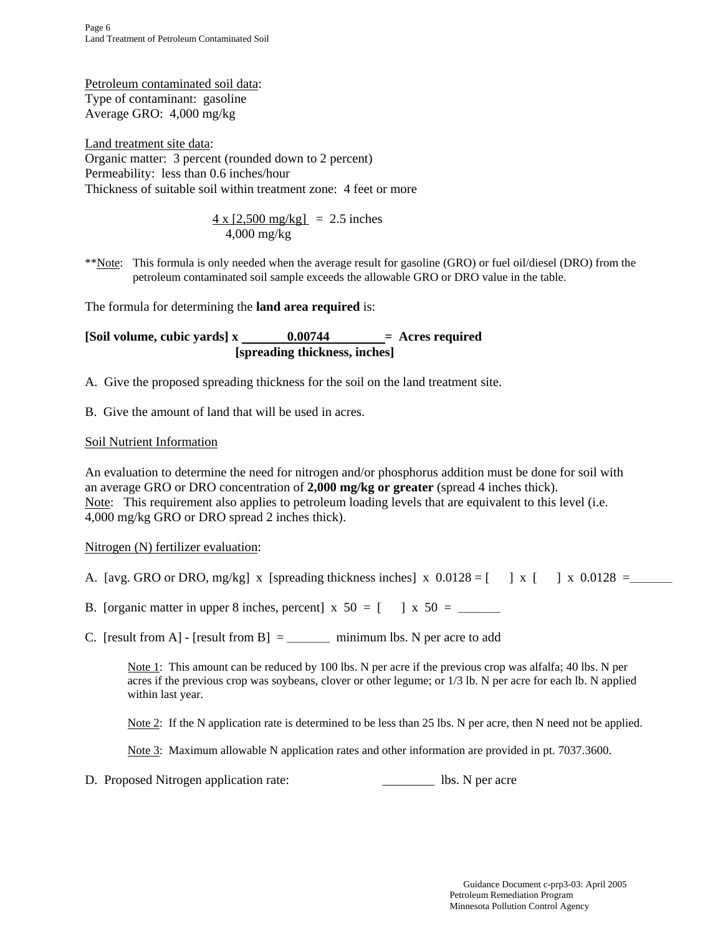Petroleum contaminated soil data: Type of contaminant: gasoline Average GRO: 4,000 mg/kg

Land treatment site data: Organic matter: 3 percent (rounded down to 2 percent) Permeability: less than 0.6 inches/hour Thickness of suitable soil within treatment zone: 4 feet or more

$$
\frac{4 \times [2,500 \text{ mg/kg}]}{4,000 \text{ mg/kg}} = 2.5 \text{ inches}
$$

\*\*Note: This formula is only needed when the average result for gasoline (GRO) or fuel oil/diesel (DRO) from the petroleum contaminated soil sample exceeds the allowable GRO or DRO value in the table.

The formula for determining the **land area required** is:

 $[Soil volume, cubic yards] x \nightharpoonup 0.00744 = \text{Acres required}$  **[spreading thickness, inches]** 

A. Give the proposed spreading thickness for the soil on the land treatment site.

B. Give the amount of land that will be used in acres.

## Soil Nutrient Information

An evaluation to determine the need for nitrogen and/or phosphorus addition must be done for soil with an average GRO or DRO concentration of **2,000 mg/kg or greater** (spread 4 inches thick). Note: This requirement also applies to petroleum loading levels that are equivalent to this level (i.e. 4,000 mg/kg GRO or DRO spread 2 inches thick).

#### Nitrogen (N) fertilizer evaluation:

- A. [avg. GRO or DRO, mg/kg] x [spreading thickness inches] x  $0.0128 =$  [ ] x [ ] x  $0.0128 =$
- B. [organic matter in upper 8 inches, percent] x 50 = [ ] x 50 = \_\_\_\_\_\_\_\_\_
- C. [result from A] [result from B]  $=$  \_\_\_\_\_\_\_\_\_\_\_ minimum lbs. N per acre to add

Note 1: This amount can be reduced by 100 lbs. N per acre if the previous crop was alfalfa; 40 lbs. N per acres if the previous crop was soybeans, clover or other legume; or 1/3 lb. N per acre for each lb. N applied within last year.

Note 2: If the N application rate is determined to be less than 25 lbs. N per acre, then N need not be applied.

Note 3: Maximum allowable N application rates and other information are provided in pt. 7037.3600.

D. Proposed Nitrogen application rate:  $\qquad \qquad$  lbs. N per acre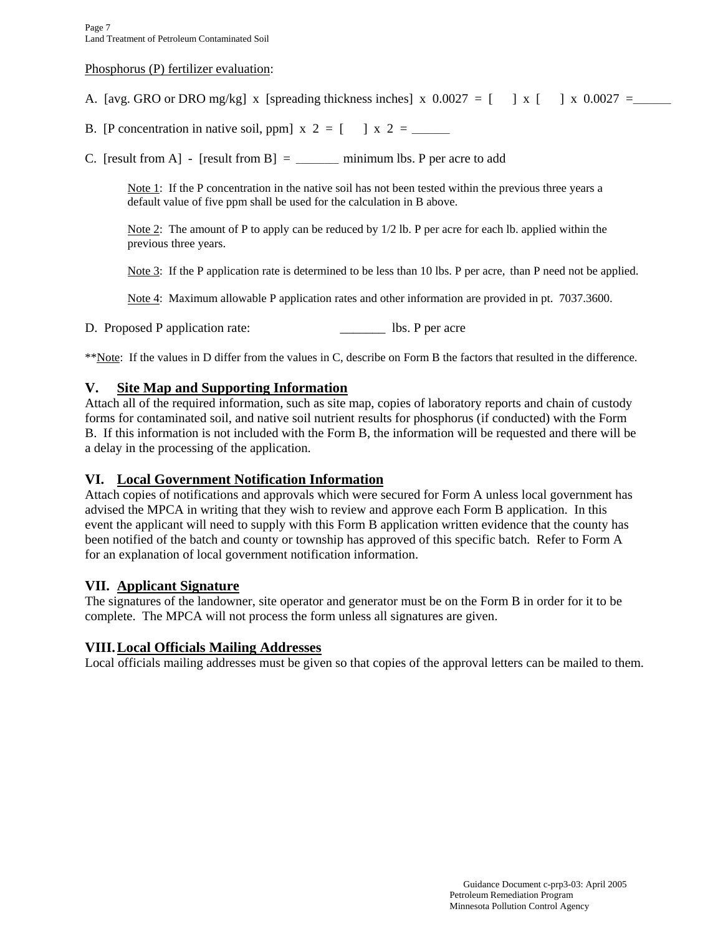#### Phosphorus (P) fertilizer evaluation:

A. [avg. GRO or DRO mg/kg] x [spreading thickness inches] x  $0.0027 = 1 \times 1 \times 0.0027 = 0$ 

B. [P concentration in native soil, ppm]  $x \ 2 = [ \ \ ] \ x \ 2 =$ 

C. [result from A] - [result from B]  $=$  minimum lbs. P per acre to add

Note 1: If the P concentration in the native soil has not been tested within the previous three years a default value of five ppm shall be used for the calculation in B above.

Note 2: The amount of P to apply can be reduced by  $1/2$  lb. P per acre for each lb. applied within the previous three years.

Note 3: If the P application rate is determined to be less than 10 lbs. P per acre, than P need not be applied.

Note 4: Maximum allowable P application rates and other information are provided in pt. 7037.3600.

D. Proposed P application rate: \_\_\_\_\_\_\_\_\_\_\_\_\_ lbs. P per acre

\*\*Note: If the values in D differ from the values in C, describe on Form B the factors that resulted in the difference.

#### **V. Site Map and Supporting Information**

Attach all of the required information, such as site map, copies of laboratory reports and chain of custody forms for contaminated soil, and native soil nutrient results for phosphorus (if conducted) with the Form B. If this information is not included with the Form B, the information will be requested and there will be a delay in the processing of the application.

#### **VI. Local Government Notification Information**

Attach copies of notifications and approvals which were secured for Form A unless local government has advised the MPCA in writing that they wish to review and approve each Form B application. In this event the applicant will need to supply with this Form B application written evidence that the county has been notified of the batch and county or township has approved of this specific batch. Refer to Form A for an explanation of local government notification information.

#### **VII. Applicant Signature**

The signatures of the landowner, site operator and generator must be on the Form B in order for it to be complete. The MPCA will not process the form unless all signatures are given.

#### **VIII. Local Officials Mailing Addresses**

Local officials mailing addresses must be given so that copies of the approval letters can be mailed to them.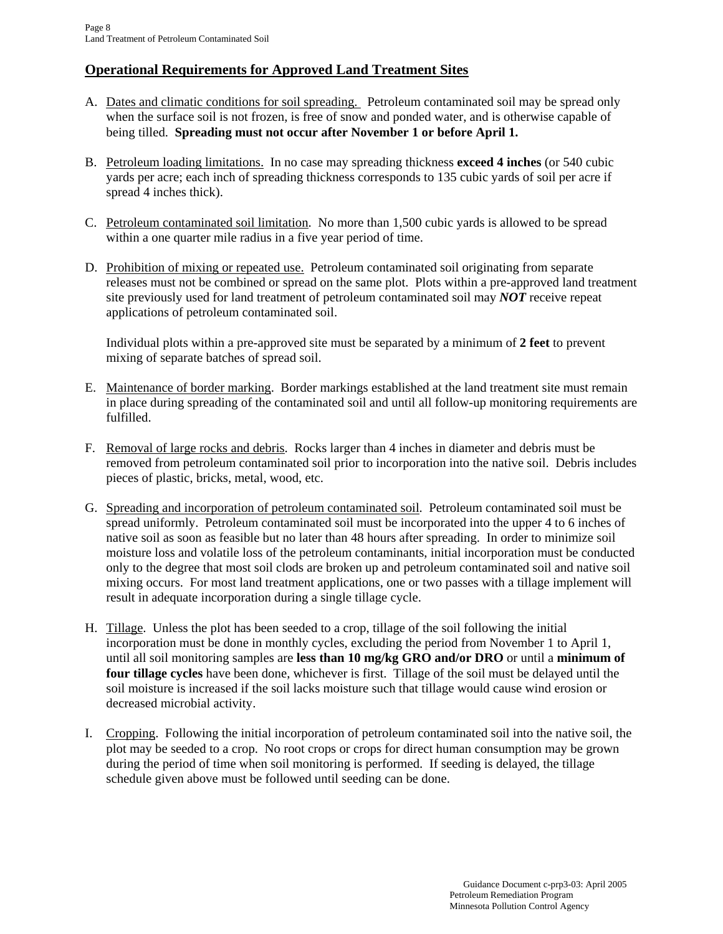## **Operational Requirements for Approved Land Treatment Sites**

- A. Dates and climatic conditions for soil spreading. Petroleum contaminated soil may be spread only when the surface soil is not frozen, is free of snow and ponded water, and is otherwise capable of being tilled. **Spreading must not occur after November 1 or before April 1.**
- B. Petroleum loading limitations. In no case may spreading thickness **exceed 4 inches** (or 540 cubic yards per acre; each inch of spreading thickness corresponds to 135 cubic yards of soil per acre if spread 4 inches thick).
- C. Petroleum contaminated soil limitation. No more than 1,500 cubic yards is allowed to be spread within a one quarter mile radius in a five year period of time.
- D. Prohibition of mixing or repeated use. Petroleum contaminated soil originating from separate releases must not be combined or spread on the same plot. Plots within a pre-approved land treatment site previously used for land treatment of petroleum contaminated soil may *NOT* receive repeat applications of petroleum contaminated soil.

 Individual plots within a pre-approved site must be separated by a minimum of **2 feet** to prevent mixing of separate batches of spread soil.

- E. Maintenance of border marking. Border markings established at the land treatment site must remain in place during spreading of the contaminated soil and until all follow-up monitoring requirements are fulfilled.
- F. Removal of large rocks and debris. Rocks larger than 4 inches in diameter and debris must be removed from petroleum contaminated soil prior to incorporation into the native soil. Debris includes pieces of plastic, bricks, metal, wood, etc.
- G. Spreading and incorporation of petroleum contaminated soil. Petroleum contaminated soil must be spread uniformly. Petroleum contaminated soil must be incorporated into the upper 4 to 6 inches of native soil as soon as feasible but no later than 48 hours after spreading. In order to minimize soil moisture loss and volatile loss of the petroleum contaminants, initial incorporation must be conducted only to the degree that most soil clods are broken up and petroleum contaminated soil and native soil mixing occurs. For most land treatment applications, one or two passes with a tillage implement will result in adequate incorporation during a single tillage cycle.
- H. Tillage. Unless the plot has been seeded to a crop, tillage of the soil following the initial incorporation must be done in monthly cycles, excluding the period from November 1 to April 1, until all soil monitoring samples are **less than 10 mg/kg GRO and/or DRO** or until a **minimum of four tillage cycles** have been done, whichever is first. Tillage of the soil must be delayed until the soil moisture is increased if the soil lacks moisture such that tillage would cause wind erosion or decreased microbial activity.
- I. Cropping. Following the initial incorporation of petroleum contaminated soil into the native soil, the plot may be seeded to a crop. No root crops or crops for direct human consumption may be grown during the period of time when soil monitoring is performed. If seeding is delayed, the tillage schedule given above must be followed until seeding can be done.